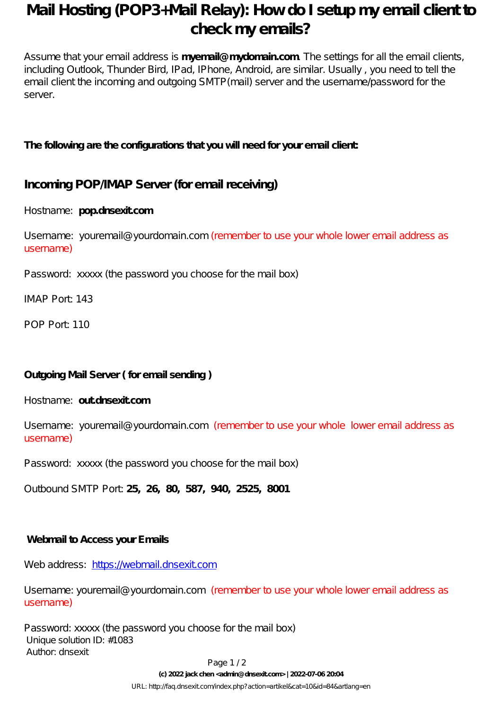## **Mail Hosting (POP3+Mail Relay): How do I setup my email client to check my emails?**

Assume that your email address is **myemail@mydomain.com**. The settings for all the email clients, including Outlook, Thunder Bird, IPad, IPhone, Android, are similar. Usually , you need to tell the email client the incoming and outgoing SMTP (mail) server and the username bassword for the server.

#### **The following are the configurations that you will need for your email client:**

### **Incoming POP/IMAP Server (for email receiving)**

Hostname: **pop.dnsexit.com**

Username: youremail@yourdomain.com (remember to use your whole lower email address as username)

Password: xxxxx (the password you choose for the mail box)

IMAP Port: 143

POP Port: 110

#### **Outgoing Mail Server ( for email sending )**

Hostname: **out.dnsexit.com**

Username: youremail@yourdomain.com (remember to use your whole lower email address as username)

Password: xxxxx (the password you choose for the mail box)

Outbound SMTP Port: **25, 26, 80, 587, 940, 2525, 8001**

#### **Webmail to Access your Emails**

Web address: <https://webmail.dnsexit.com>

Username: youremail@yourdomain.com (remember to use your whole lower email address as username)

Password: xxxxx (the password you choose for the mail box) Unique solution ID: #1083 Author: dnsexit

Page 1/2

**(c) 2022 jack chen <admin@dnsexit.com> | 2022-07-06 20:04**

[URL: http://faq.dnsexit.com/index.php?action=artikel&cat=10&id=84&artlang=en](http://faq.dnsexit.com/index.php?action=artikel&cat=10&id=84&artlang=en)